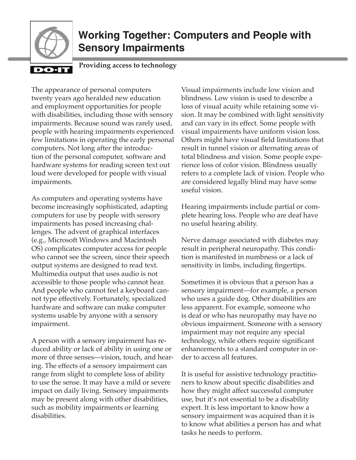

# **Working Together: Computers and People with Sensory Impairments**

#### DO-I

**Providing access to technology**

The appearance of personal computers twenty years ago heralded new education and employment opportunities for people with disabilities, including those with sensory impairments. Because sound was rarely used, people with hearing impairments experienced few limitations in operating the early personal computers. Not long after the introduction of the personal computer, software and hardware systems for reading screen text out loud were developed for people with visual impairments.

As computers and operating systems have become increasingly sophisticated, adapting computers for use by people with sensory impairments has posed increasing challenges. The advent of graphical interfaces (e.g., Microsoft Windows and Macintosh OS) complicates computer access for people who cannot see the screen, since their speech output systems are designed to read text. Multimedia output that uses audio is not accessible to those people who cannot hear. And people who cannot feel a keyboard cannot type effectively. Fortunately, specialized hardware and software can make computer systems usable by anyone with a sensory impairment.

A person with a sensory impairment has reduced ability or lack of ability in using one or more of three senses—vision, touch, and hearing. The effects of a sensory impairment can range from slight to complete loss of ability to use the sense. It may have a mild or severe impact on daily living. Sensory impairments may be present along with other disabilities, such as mobility impairments or learning disabilities.

Visual impairments include low vision and blindness. Low vision is used to describe a loss of visual acuity while retaining some vision. It may be combined with light sensitivity and can vary in its effect. Some people with visual impairments have uniform vision loss. Others might have visual field limitations that result in tunnel vision or alternating areas of total blindness and vision. Some people experience loss of color vision. Blindness usually refers to a complete lack of vision. People who are considered legally blind may have some useful vision.

Hearing impairments include partial or complete hearing loss. People who are deaf have no useful hearing ability.

Nerve damage associated with diabetes may result in peripheral neuropathy. This condition is manifested in numbness or a lack of sensitivity in limbs, including fingertips.

Sometimes it is obvious that a person has a sensory impairment—for example, a person who uses a guide dog. Other disabilities are less apparent. For example, someone who is deaf or who has neuropathy may have no obvious impairment. Someone with a sensory impairment may not require any special technology, while others require significant enhancements to a standard computer in order to access all features.

It is useful for assistive technology practitioners to know about specific disabilities and how they might affect successful computer use, but it's not essential to be a disability expert. It is less important to know how a sensory impairment was acquired than it is to know what abilities a person has and what tasks he needs to perform.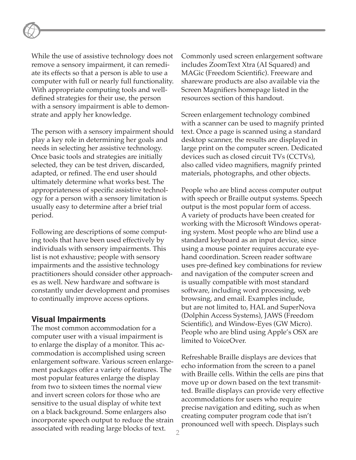While the use of assistive technology does not remove a sensory impairment, it can remediate its effects so that a person is able to use a computer with full or nearly full functionality. With appropriate computing tools and welldefined strategies for their use, the person with a sensory impairment is able to demonstrate and apply her knowledge.

The person with a sensory impairment should play a key role in determining her goals and needs in selecting her assistive technology. Once basic tools and strategies are initially selected, they can be test driven, discarded, adapted, or refined. The end user should ultimately determine what works best. The appropriateness of specific assistive technology for a person with a sensory limitation is usually easy to determine after a brief trial period.

Following are descriptions of some computing tools that have been used effectively by individuals with sensory impairments. This list is not exhaustive; people with sensory impairments and the assistive technology practitioners should consider other approaches as well. New hardware and software is constantly under development and promises to continually improve access options.

#### **Visual Impairments**

The most common accommodation for a computer user with a visual impairment is to enlarge the display of a monitor. This accommodation is accomplished using screen enlargement software. Various screen enlargement packages offer a variety of features. The most popular features enlarge the display from two to sixteen times the normal view and invert screen colors for those who are sensitive to the usual display of white text on a black background. Some enlargers also incorporate speech output to reduce the strain associated with reading large blocks of text.

Commonly used screen enlargement software includes ZoomText Xtra (AI Squared) and MAGic (Freedom Scientific). Freeware and shareware products are also available via the Screen Magnifiers homepage listed in the resources section of this handout.

Screen enlargement technology combined with a scanner can be used to magnify printed text. Once a page is scanned using a standard desktop scanner, the results are displayed in large print on the computer screen. Dedicated devices such as closed circuit TVs (CCTVs), also called video magnifiers, magnify printed materials, photographs, and other objects.

People who are blind access computer output with speech or Braille output systems. Speech output is the most popular form of access. A variety of products have been created for working with the Microsoft Windows operating system. Most people who are blind use a standard keyboard as an input device, since using a mouse pointer requires accurate eyehand coordination. Screen reader software uses pre-defined key combinations for review and navigation of the computer screen and is usually compatible with most standard software, including word processing, web browsing, and email. Examples include, but are not limited to, HAL and SuperNova (Dolphin Access Systems), JAWS (Freedom Scientific), and Window-Eyes (GW Micro). People who are blind using Apple's OSX are limited to VoiceOver.

Refreshable Braille displays are devices that echo information from the screen to a panel with Braille cells. Within the cells are pins that move up or down based on the text transmitted. Braille displays can provide very effective accommodations for users who require precise navigation and editing, such as when creating computer program code that isn't pronounced well with speech. Displays such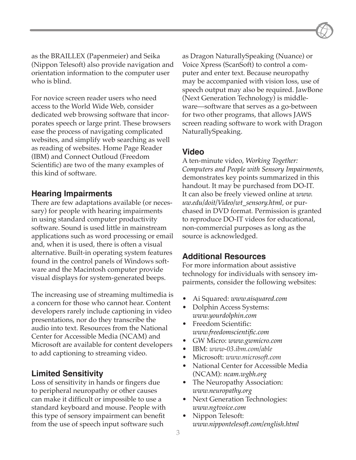as the BRAILLEX (Papenmeier) and Seika (Nippon Telesoft) also provide navigation and orientation information to the computer user who is blind.

For novice screen reader users who need access to the World Wide Web, consider dedicated web browsing software that incorporates speech or large print. These browsers ease the process of navigating complicated websites, and simplify web searching as well as reading of websites. Home Page Reader (IBM) and Connect Outloud (Freedom Scientific) are two of the many examples of this kind of software.

#### **Hearing Impairments**

There are few adaptations available (or necessary) for people with hearing impairments in using standard computer productivity software. Sound is used little in mainstream applications such as word processing or email and, when it is used, there is often a visual alternative. Built-in operating system features found in the control panels of Windows software and the Macintosh computer provide visual displays for system-generated beeps.

The increasing use of streaming multimedia is a concern for those who cannot hear. Content developers rarely include captioning in video presentations, nor do they transcribe the audio into text. Resources from the National Center for Accessible Media (NCAM) and Microsoft are available for content developers to add captioning to streaming video.

## **Limited Sensitivity**

Loss of sensitivity in hands or fingers due to peripheral neuropathy or other causes can make it difficult or impossible to use a standard keyboard and mouse. People with this type of sensory impairment can benefit from the use of speech input software such

as Dragon NaturallySpeaking (Nuance) or Voice Xpress (ScanSoft) to control a computer and enter text. Because neuropathy may be accompanied with vision loss, use of speech output may also be required. JawBone (Next Generation Technology) is middleware—software that serves as a go-between for two other programs, that allows JAWS screen reading software to work with Dragon NaturallySpeaking.

### **Video**

A ten-minute video, *Working Together: Computers and People with Sensory Impairments*, demonstrates key points summarized in this handout. It may be purchased from DO-IT. It can also be freely viewed online at *[www.](http://www.washington.edu/doit/Video/wt_sensory.html) [uw.edu/doit/Video/wt\\_sensory.html](http://www.washington.edu/doit/Video/wt_sensory.html)*, or purchased in DVD format*.* Permission is granted to reproduce DO-IT videos for educational, non-commercial purposes as long as the source is acknowledged.

## **Additional Resources**

For more information about assistive technology for individuals with sensory impairments, consider the following websites:

- Ai Squared: *[www.aisquared.com](http://www.aisquared.com)*
- Dolphin Access Systems: *[www.yourdolphin.com](http://www.yourdolphin.com/)*
- Freedom Scientific: *[www.freedomscientific.com](http://www.freedomscientific.com/)*
- GW Micro: *[www.gwmicro.com](http://www.gwmicro.com/)*
- IBM: *[www-03.ibm.com/able](http://www-03.ibm.com/able)*
- Microsoft: *[www.microsoft.com](http://www.microsoft.com)*
- National Center for Accessible Media (NCAM): *[ncam.wgbh.org](http://ncam.wgbh.org)*
- The Neuropathy Association: *[www.neuropathy.org](http://www.neuropathy.org/)*
- Next Generation Technologies: *[www.ngtvoice.com](http://www.ngtvoice.com/)*
- Nippon Telesoft: *[www.nippontelesoft.com/english.html](http://www.nippontelesoft.com/english.html)*